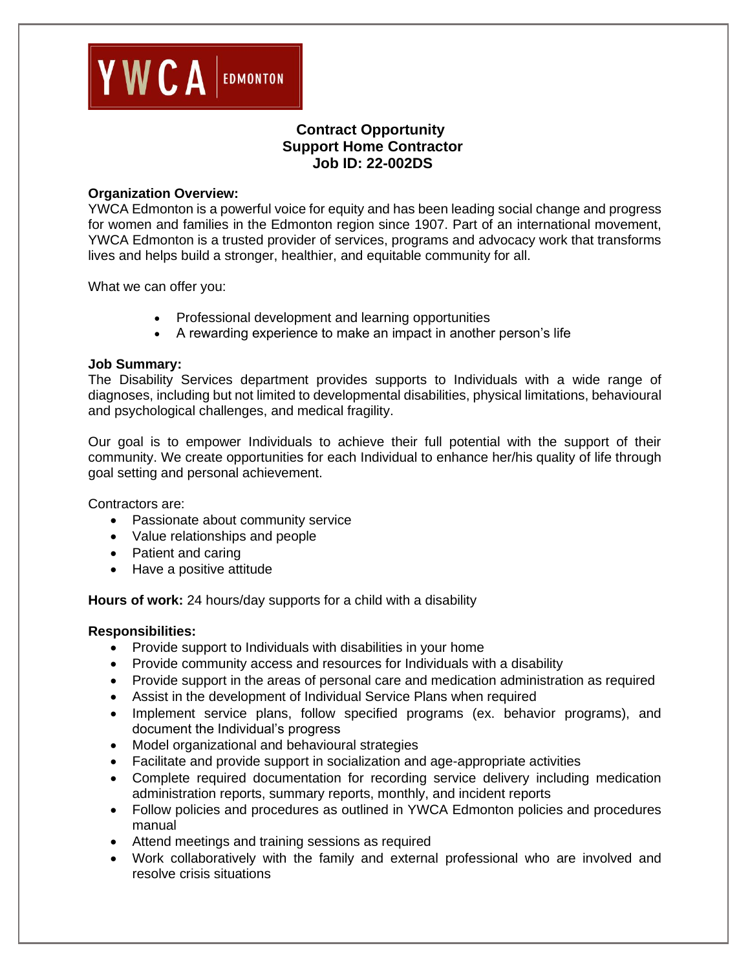

# **Contract Opportunity Support Home Contractor Job ID: 22-002DS**

#### **Organization Overview:**

YWCA Edmonton is a powerful voice for equity and has been leading social change and progress for women and families in the Edmonton region since 1907. Part of an international movement, YWCA Edmonton is a trusted provider of services, programs and advocacy work that transforms lives and helps build a stronger, healthier, and equitable community for all.

What we can offer you:

- Professional development and learning opportunities
- A rewarding experience to make an impact in another person's life

#### **Job Summary:**

The Disability Services department provides supports to Individuals with a wide range of diagnoses, including but not limited to developmental disabilities, physical limitations, behavioural and psychological challenges, and medical fragility.

Our goal is to empower Individuals to achieve their full potential with the support of their community. We create opportunities for each Individual to enhance her/his quality of life through goal setting and personal achievement.

Contractors are:

- Passionate about community service
- Value relationships and people
- Patient and caring
- Have a positive attitude

**Hours of work:** 24 hours/day supports for a child with a disability

## **Responsibilities:**

- Provide support to Individuals with disabilities in your home
- Provide community access and resources for Individuals with a disability
- Provide support in the areas of personal care and medication administration as required
- Assist in the development of Individual Service Plans when required
- Implement service plans, follow specified programs (ex. behavior programs), and document the Individual's progress
- Model organizational and behavioural strategies
- Facilitate and provide support in socialization and age-appropriate activities
- Complete required documentation for recording service delivery including medication administration reports, summary reports, monthly, and incident reports
- Follow policies and procedures as outlined in YWCA Edmonton policies and procedures manual
- Attend meetings and training sessions as required
- Work collaboratively with the family and external professional who are involved and resolve crisis situations